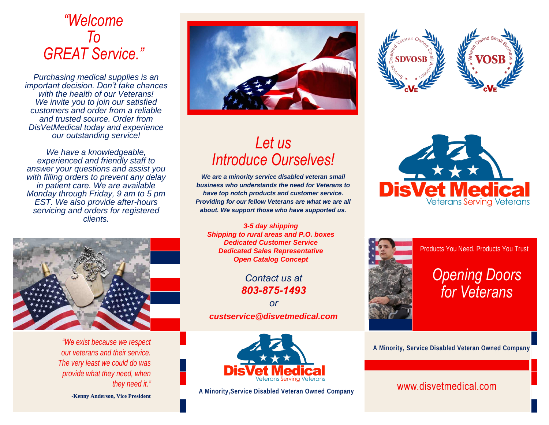## *"Welcome To GREAT Service."*

*Purchasing medical supplies is an important decision. Don't take chances with the health of our Veterans! We invite you to join our satisfied customers and order from a reliable and trusted source. Order from DisVetMedical today and experience our outstanding service!*

*We have a knowledgeable, experienced and friendly staff to answer your questions and assist you with filling orders to prevent any delay in patient care. We are available Monday through Friday, 9 am to 5 pm EST. We also provide after-hours servicing and orders for registered clients.*



*"We exist because we respect our veterans and their service. The very least we could do was provide what they need, when they need it."*

**-Kenny Anderson, Vice President**



## *Let us Introduce Ourselves!*

*We are a minority service disabled veteran small business who understands the need for Veterans to have top notch products and customer service. Providing for our fellow Veterans are what we are all about. We support those who have supported us.*

*3-5 day shipping Shipping to rural areas and P.O. boxes Dedicated Customer Service Dedicated Sales Representative Open Catalog Concept*

> *Contact us at 803-875-1493*

*or custservice@disvetmedical.com*









Products You Need. Products You Trust

# *Opening Doors for Veterans*

**A Minority, Service Disabled Veteran Owned Company**

### **A Minority,Service Disabled Veteran Owned Company** www.disvetmedical.com